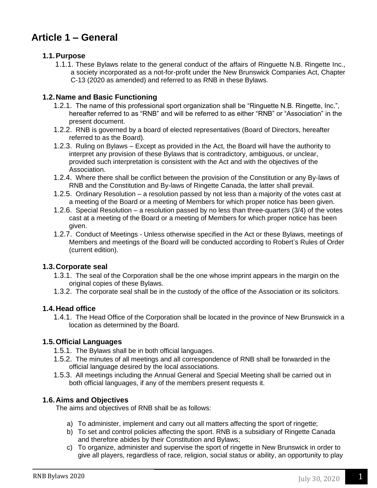# **Article 1 – General**

## **1.1.Purpose**

1.1.1. These Bylaws relate to the general conduct of the affairs of Ringuette N.B. Ringette Inc., a society incorporated as a not-for-profit under the New Brunswick Companies Act, Chapter C-13 (2020 as amended) and referred to as RNB in these Bylaws.

### **1.2.Name and Basic Functioning**

- 1.2.1. The name of this professional sport organization shall be "Ringuette N.B. Ringette, Inc.", hereafter referred to as "RNB" and will be referred to as either "RNB" or "Association" in the present document.
- 1.2.2. RNB is governed by a board of elected representatives (Board of Directors, hereafter referred to as the Board).
- 1.2.3. Ruling on Bylaws Except as provided in the Act, the Board will have the authority to interpret any provision of these Bylaws that is contradictory, ambiguous, or unclear, provided such interpretation is consistent with the Act and with the objectives of the Association.
- 1.2.4. Where there shall be conflict between the provision of the Constitution or any By-laws of RNB and the Constitution and By-laws of Ringette Canada, the latter shall prevail.
- 1.2.5. Ordinary Resolution a resolution passed by not less than a majority of the votes cast at a meeting of the Board or a meeting of Members for which proper notice has been given.
- 1.2.6. Special Resolution a resolution passed by no less than three-quarters (3/4) of the votes cast at a meeting of the Board or a meeting of Members for which proper notice has been given.
- 1.2.7. Conduct of Meetings Unless otherwise specified in the Act or these Bylaws, meetings of Members and meetings of the Board will be conducted according to Robert's Rules of Order (current edition).

### **1.3.Corporate seal**

- 1.3.1. The seal of the Corporation shall be the one whose imprint appears in the margin on the original copies of these Bylaws.
- 1.3.2. The corporate seal shall be in the custody of the office of the Association or its solicitors.

## **1.4.Head office**

1.4.1. The Head Office of the Corporation shall be located in the province of New Brunswick in a location as determined by the Board.

## **1.5.Official Languages**

- 1.5.1. The Bylaws shall be in both official languages.
- 1.5.2. The minutes of all meetings and all correspondence of RNB shall be forwarded in the official language desired by the local associations.
- 1.5.3. All meetings including the Annual General and Special Meeting shall be carried out in both official languages, if any of the members present requests it.

### **1.6.Aims and Objectives**

The aims and objectives of RNB shall be as follows:

- a) To administer, implement and carry out all matters affecting the sport of ringette;
- b) To set and control policies affecting the sport. RNB is a subsidiary of Ringette Canada and therefore abides by their Constitution and Bylaws;
- c) To organize, administer and supervise the sport of ringette in New Brunswick in order to give all players, regardless of race, religion, social status or ability, an opportunity to play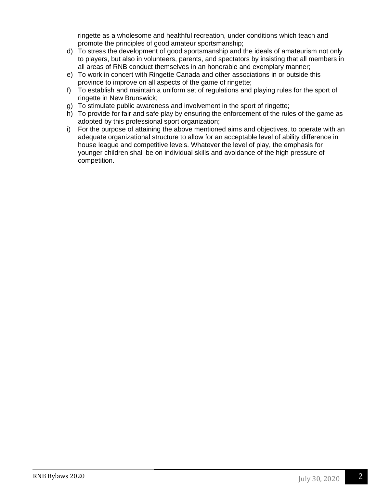ringette as a wholesome and healthful recreation, under conditions which teach and promote the principles of good amateur sportsmanship;

- d) To stress the development of good sportsmanship and the ideals of amateurism not only to players, but also in volunteers, parents, and spectators by insisting that all members in all areas of RNB conduct themselves in an honorable and exemplary manner;
- e) To work in concert with Ringette Canada and other associations in or outside this province to improve on all aspects of the game of ringette;
- f) To establish and maintain a uniform set of regulations and playing rules for the sport of ringette in New Brunswick;
- g) To stimulate public awareness and involvement in the sport of ringette;
- h) To provide for fair and safe play by ensuring the enforcement of the rules of the game as adopted by this professional sport organization;
- i) For the purpose of attaining the above mentioned aims and objectives, to operate with an adequate organizational structure to allow for an acceptable level of ability difference in house league and competitive levels. Whatever the level of play, the emphasis for younger children shall be on individual skills and avoidance of the high pressure of competition.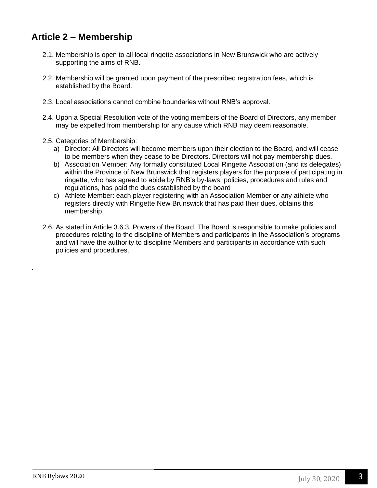# **Article 2 – Membership**

- 2.1. Membership is open to all local ringette associations in New Brunswick who are actively supporting the aims of RNB.
- 2.2. Membership will be granted upon payment of the prescribed registration fees, which is established by the Board.
- 2.3. Local associations cannot combine boundaries without RNB's approval.
- 2.4. Upon a Special Resolution vote of the voting members of the Board of Directors, any member may be expelled from membership for any cause which RNB may deem reasonable.
- 2.5. Categories of Membership:
	- a) Director: All Directors will become members upon their election to the Board, and will cease to be members when they cease to be Directors. Directors will not pay membership dues.
	- b) Association Member: Any formally constituted Local Ringette Association (and its delegates) within the Province of New Brunswick that registers players for the purpose of participating in ringette, who has agreed to abide by RNB's by-laws, policies, procedures and rules and regulations, has paid the dues established by the board
	- c) Athlete Member: each player registering with an Association Member or any athlete who registers directly with Ringette New Brunswick that has paid their dues, obtains this membership
- 2.6. As stated in Article 3.6.3, Powers of the Board, The Board is responsible to make policies and procedures relating to the discipline of Members and participants in the Association's programs and will have the authority to discipline Members and participants in accordance with such policies and procedures.

.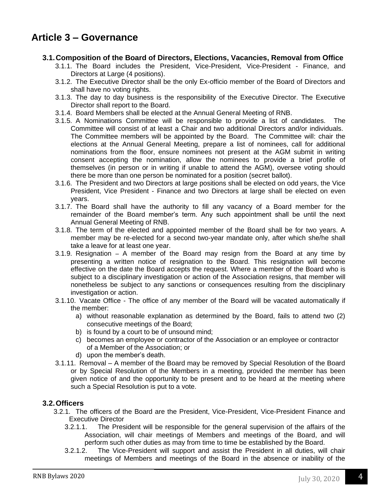# **Article 3 – Governance**

### **3.1.Composition of the Board of Directors, Elections, Vacancies, Removal from Office**

- 3.1.1. The Board includes the President, Vice-President, Vice-President Finance, and Directors at Large (4 positions).
- 3.1.2. The Executive Director shall be the only Ex-officio member of the Board of Directors and shall have no voting rights.
- 3.1.3. The day to day business is the responsibility of the Executive Director. The Executive Director shall report to the Board.
- 3.1.4. Board Members shall be elected at the Annual General Meeting of RNB.
- 3.1.5. A Nominations Committee will be responsible to provide a list of candidates. The Committee will consist of at least a Chair and two additional Directors and/or individuals. The Committee members will be appointed by the Board. The Committee will: chair the elections at the Annual General Meeting, prepare a list of nominees, call for additional nominations from the floor, ensure nominees not present at the AGM submit in writing consent accepting the nomination, allow the nominees to provide a brief profile of themselves (in person or in writing if unable to attend the AGM), oversee voting should there be more than one person be nominated for a position (secret ballot).
- 3.1.6. The President and two Directors at large positions shall be elected on odd years, the Vice President, Vice President - Finance and two Directors at large shall be elected on even years.
- 3.1.7. The Board shall have the authority to fill any vacancy of a Board member for the remainder of the Board member's term. Any such appointment shall be until the next Annual General Meeting of RNB.
- 3.1.8. The term of the elected and appointed member of the Board shall be for two years. A member may be re-elected for a second two-year mandate only, after which she/he shall take a leave for at least one year.
- 3.1.9. Resignation A member of the Board may resign from the Board at any time by presenting a written notice of resignation to the Board. This resignation will become effective on the date the Board accepts the request. Where a member of the Board who is subject to a disciplinary investigation or action of the Association resigns, that member will nonetheless be subject to any sanctions or consequences resulting from the disciplinary investigation or action.
- 3.1.10. Vacate Office The office of any member of the Board will be vacated automatically if the member:
	- a) without reasonable explanation as determined by the Board, fails to attend two (2) consecutive meetings of the Board;
	- b) is found by a court to be of unsound mind;
	- c) becomes an employee or contractor of the Association or an employee or contractor of a Member of the Association; or
	- d) upon the member's death.
- 3.1.11. Removal A member of the Board may be removed by Special Resolution of the Board or by Special Resolution of the Members in a meeting, provided the member has been given notice of and the opportunity to be present and to be heard at the meeting where such a Special Resolution is put to a vote.

### **3.2.Officers**

- 3.2.1. The officers of the Board are the President, Vice-President, Vice-President Finance and Executive Director
	- 3.2.1.1. The President will be responsible for the general supervision of the affairs of the Association, will chair meetings of Members and meetings of the Board, and will perform such other duties as may from time to time be established by the Board.
	- 3.2.1.2. The Vice-President will support and assist the President in all duties, will chair meetings of Members and meetings of the Board in the absence or inability of the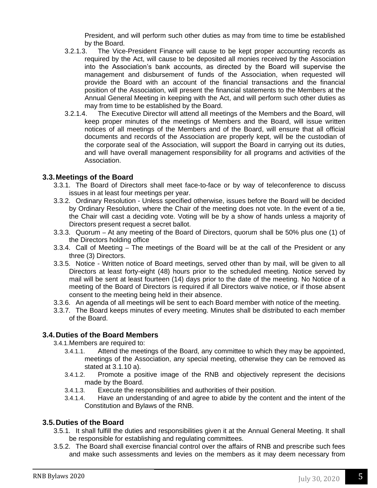President, and will perform such other duties as may from time to time be established by the Board.

- 3.2.1.3. The Vice-President Finance will cause to be kept proper accounting records as required by the Act, will cause to be deposited all monies received by the Association into the Association's bank accounts, as directed by the Board will supervise the management and disbursement of funds of the Association, when requested will provide the Board with an account of the financial transactions and the financial position of the Association, will present the financial statements to the Members at the Annual General Meeting in keeping with the Act, and will perform such other duties as may from time to be established by the Board.
- 3.2.1.4. The Executive Director will attend all meetings of the Members and the Board, will keep proper minutes of the meetings of Members and the Board, will issue written notices of all meetings of the Members and of the Board, will ensure that all official documents and records of the Association are properly kept, will be the custodian of the corporate seal of the Association, will support the Board in carrying out its duties, and will have overall management responsibility for all programs and activities of the Association.

### **3.3.Meetings of the Board**

- 3.3.1. The Board of Directors shall meet face-to-face or by way of teleconference to discuss issues in at least four meetings per year.
- 3.3.2. Ordinary Resolution Unless specified otherwise, issues before the Board will be decided by Ordinary Resolution, where the Chair of the meeting does not vote. In the event of a tie, the Chair will cast a deciding vote. Voting will be by a show of hands unless a majority of Directors present request a secret ballot.
- 3.3.3. Quorum At any meeting of the Board of Directors, quorum shall be 50% plus one (1) of the Directors holding office
- 3.3.4. Call of Meeting The meetings of the Board will be at the call of the President or any three (3) Directors.
- 3.3.5. Notice Written notice of Board meetings, served other than by mail, will be given to all Directors at least forty-eight (48) hours prior to the scheduled meeting. Notice served by mail will be sent at least fourteen (14) days prior to the date of the meeting. No Notice of a meeting of the Board of Directors is required if all Directors waive notice, or if those absent consent to the meeting being held in their absence.
- 3.3.6. An agenda of all meetings will be sent to each Board member with notice of the meeting.
- 3.3.7. The Board keeps minutes of every meeting. Minutes shall be distributed to each member of the Board.

#### **3.4.Duties of the Board Members**

3.4.1.Members are required to:

- 3.4.1.1. Attend the meetings of the Board, any committee to which they may be appointed, meetings of the Association, any special meeting, otherwise they can be removed as stated at 3.1.10 a).
- 3.4.1.2. Promote a positive image of the RNB and objectively represent the decisions made by the Board.
- 3.4.1.3. Execute the responsibilities and authorities of their position.
- 3.4.1.4. Have an understanding of and agree to abide by the content and the intent of the Constitution and Bylaws of the RNB.

### **3.5.Duties of the Board**

- 3.5.1. It shall fulfill the duties and responsibilities given it at the Annual General Meeting. It shall be responsible for establishing and regulating committees.
- 3.5.2. The Board shall exercise financial control over the affairs of RNB and prescribe such fees and make such assessments and levies on the members as it may deem necessary from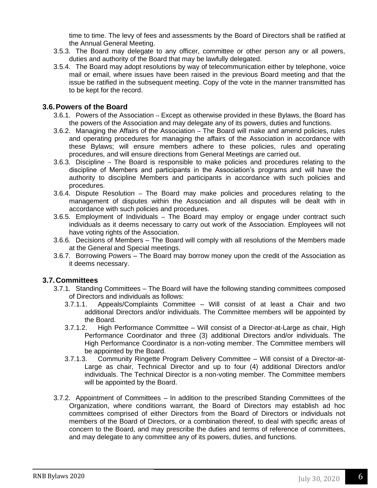time to time. The levy of fees and assessments by the Board of Directors shall be ratified at the Annual General Meeting.

- 3.5.3. The Board may delegate to any officer, committee or other person any or all powers, duties and authority of the Board that may be lawfully delegated.
- 3.5.4. The Board may adopt resolutions by way of telecommunication either by telephone, voice mail or email, where issues have been raised in the previous Board meeting and that the issue be ratified in the subsequent meeting. Copy of the vote in the manner transmitted has to be kept for the record.

### **3.6.Powers of the Board**

- 3.6.1. Powers of the Association Except as otherwise provided in these Bylaws, the Board has the powers of the Association and may delegate any of its powers, duties and functions.
- 3.6.2. Managing the Affairs of the Association The Board will make and amend policies, rules and operating procedures for managing the affairs of the Association in accordance with these Bylaws; will ensure members adhere to these policies, rules and operating procedures, and will ensure directions from General Meetings are carried out.
- 3.6.3. Discipline The Board is responsible to make policies and procedures relating to the discipline of Members and participants in the Association's programs and will have the authority to discipline Members and participants in accordance with such policies and procedures.
- 3.6.4. Dispute Resolution The Board may make policies and procedures relating to the management of disputes within the Association and all disputes will be dealt with in accordance with such policies and procedures.
- 3.6.5. Employment of Individuals The Board may employ or engage under contract such individuals as it deems necessary to carry out work of the Association. Employees will not have voting rights of the Association.
- 3.6.6. Decisions of Members The Board will comply with all resolutions of the Members made at the General and Special meetings.
- 3.6.7. Borrowing Powers The Board may borrow money upon the credit of the Association as it deems necessary.

## **3.7.Committees**

- 3.7.1. Standing Committees The Board will have the following standing committees composed of Directors and individuals as follows:
	- 3.7.1.1. Appeals/Complaints Committee Will consist of at least a Chair and two additional Directors and/or individuals. The Committee members will be appointed by the Board.
	- 3.7.1.2. High Performance Committee Will consist of a Director-at-Large as chair, High Performance Coordinator and three (3) additional Directors and/or individuals. The High Performance Coordinator is a non-voting member. The Committee members will be appointed by the Board.
	- 3.7.1.3. Community Ringette Program Delivery Committee Will consist of a Director-at-Large as chair, Technical Director and up to four (4) additional Directors and/or individuals. The Technical Director is a non-voting member. The Committee members will be appointed by the Board.
- 3.7.2. Appointment of Committees In addition to the prescribed Standing Committees of the Organization, where conditions warrant, the Board of Directors may establish ad hoc committees comprised of either Directors from the Board of Directors or individuals not members of the Board of Directors, or a combination thereof, to deal with specific areas of concern to the Board, and may prescribe the duties and terms of reference of committees, and may delegate to any committee any of its powers, duties, and functions.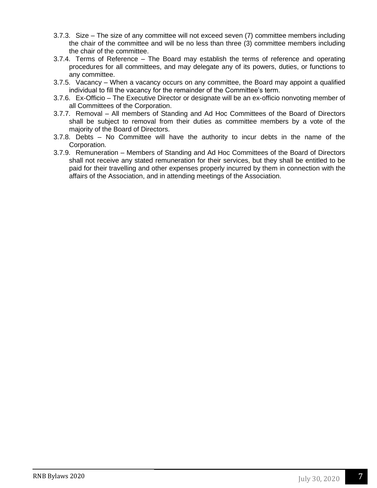- 3.7.3. Size The size of any committee will not exceed seven (7) committee members including the chair of the committee and will be no less than three (3) committee members including the chair of the committee.
- 3.7.4. Terms of Reference The Board may establish the terms of reference and operating procedures for all committees, and may delegate any of its powers, duties, or functions to any committee.
- 3.7.5. Vacancy When a vacancy occurs on any committee, the Board may appoint a qualified individual to fill the vacancy for the remainder of the Committee's term.
- 3.7.6. Ex-Officio The Executive Director or designate will be an ex-officio nonvoting member of all Committees of the Corporation.
- 3.7.7. Removal All members of Standing and Ad Hoc Committees of the Board of Directors shall be subject to removal from their duties as committee members by a vote of the majority of the Board of Directors.
- 3.7.8. Debts No Committee will have the authority to incur debts in the name of the Corporation.
- 3.7.9. Remuneration Members of Standing and Ad Hoc Committees of the Board of Directors shall not receive any stated remuneration for their services, but they shall be entitled to be paid for their travelling and other expenses properly incurred by them in connection with the affairs of the Association, and in attending meetings of the Association.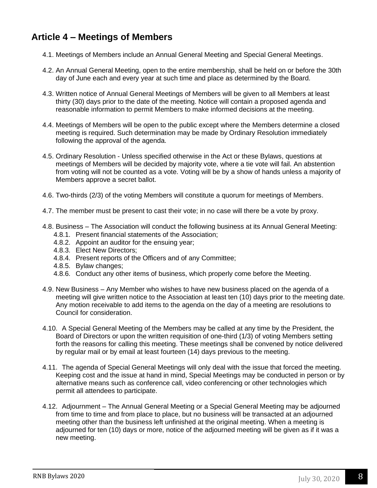# **Article 4 – Meetings of Members**

- 4.1. Meetings of Members include an Annual General Meeting and Special General Meetings.
- 4.2. An Annual General Meeting, open to the entire membership, shall be held on or before the 30th day of June each and every year at such time and place as determined by the Board.
- 4.3. Written notice of Annual General Meetings of Members will be given to all Members at least thirty (30) days prior to the date of the meeting. Notice will contain a proposed agenda and reasonable information to permit Members to make informed decisions at the meeting.
- 4.4. Meetings of Members will be open to the public except where the Members determine a closed meeting is required. Such determination may be made by Ordinary Resolution immediately following the approval of the agenda.
- 4.5. Ordinary Resolution Unless specified otherwise in the Act or these Bylaws, questions at meetings of Members will be decided by majority vote, where a tie vote will fail. An abstention from voting will not be counted as a vote. Voting will be by a show of hands unless a majority of Members approve a secret ballot.
- 4.6. Two-thirds (2/3) of the voting Members will constitute a quorum for meetings of Members.
- 4.7. The member must be present to cast their vote; in no case will there be a vote by proxy.
- 4.8. Business The Association will conduct the following business at its Annual General Meeting:
	- 4.8.1. Present financial statements of the Association;
	- 4.8.2. Appoint an auditor for the ensuing year;
	- 4.8.3. Elect New Directors;
	- 4.8.4. Present reports of the Officers and of any Committee;
	- 4.8.5. Bylaw changes;
	- 4.8.6. Conduct any other items of business, which properly come before the Meeting.
- 4.9. New Business Any Member who wishes to have new business placed on the agenda of a meeting will give written notice to the Association at least ten (10) days prior to the meeting date. Any motion receivable to add items to the agenda on the day of a meeting are resolutions to Council for consideration.
- 4.10. A Special General Meeting of the Members may be called at any time by the President, the Board of Directors or upon the written requisition of one-third (1/3) of voting Members setting forth the reasons for calling this meeting. These meetings shall be convened by notice delivered by regular mail or by email at least fourteen (14) days previous to the meeting.
- 4.11. The agenda of Special General Meetings will only deal with the issue that forced the meeting. Keeping cost and the issue at hand in mind, Special Meetings may be conducted in person or by alternative means such as conference call, video conferencing or other technologies which permit all attendees to participate.
- 4.12. Adjournment The Annual General Meeting or a Special General Meeting may be adjourned from time to time and from place to place, but no business will be transacted at an adjourned meeting other than the business left unfinished at the original meeting. When a meeting is adjourned for ten (10) days or more, notice of the adjourned meeting will be given as if it was a new meeting.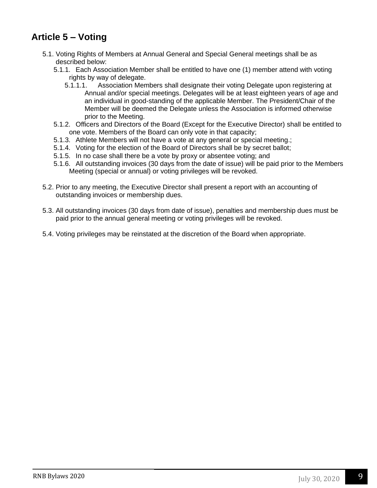# **Article 5 – Voting**

- 5.1. Voting Rights of Members at Annual General and Special General meetings shall be as described below:
	- 5.1.1. Each Association Member shall be entitled to have one (1) member attend with voting rights by way of delegate.
		- 5.1.1.1. Association Members shall designate their voting Delegate upon registering at Annual and/or special meetings. Delegates will be at least eighteen years of age and an individual in good-standing of the applicable Member. The President/Chair of the Member will be deemed the Delegate unless the Association is informed otherwise prior to the Meeting.
	- 5.1.2. Officers and Directors of the Board (Except for the Executive Director) shall be entitled to one vote. Members of the Board can only vote in that capacity;
	- 5.1.3. Athlete Members will not have a vote at any general or special meeting.;
	- 5.1.4. Voting for the election of the Board of Directors shall be by secret ballot;
	- 5.1.5. In no case shall there be a vote by proxy or absentee voting; and
	- 5.1.6. All outstanding invoices (30 days from the date of issue) will be paid prior to the Members Meeting (special or annual) or voting privileges will be revoked.
- 5.2. Prior to any meeting, the Executive Director shall present a report with an accounting of outstanding invoices or membership dues.
- 5.3. All outstanding invoices (30 days from date of issue), penalties and membership dues must be paid prior to the annual general meeting or voting privileges will be revoked.
- 5.4. Voting privileges may be reinstated at the discretion of the Board when appropriate.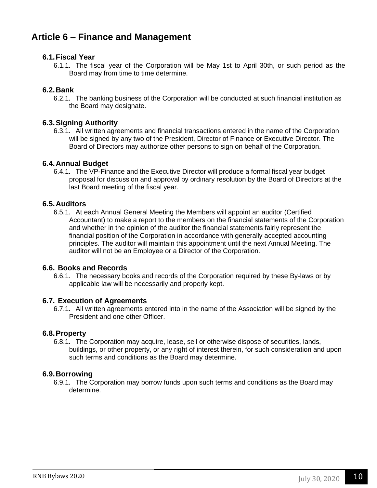# **Article 6 – Finance and Management**

### **6.1.Fiscal Year**

6.1.1. The fiscal year of the Corporation will be May 1st to April 30th, or such period as the Board may from time to time determine.

### **6.2.Bank**

6.2.1. The banking business of the Corporation will be conducted at such financial institution as the Board may designate.

### **6.3.Signing Authority**

6.3.1. All written agreements and financial transactions entered in the name of the Corporation will be signed by any two of the President, Director of Finance or Executive Director. The Board of Directors may authorize other persons to sign on behalf of the Corporation.

### **6.4.Annual Budget**

6.4.1. The VP-Finance and the Executive Director will produce a formal fiscal year budget proposal for discussion and approval by ordinary resolution by the Board of Directors at the last Board meeting of the fiscal year.

### **6.5.Auditors**

6.5.1. At each Annual General Meeting the Members will appoint an auditor (Certified Accountant) to make a report to the members on the financial statements of the Corporation and whether in the opinion of the auditor the financial statements fairly represent the financial position of the Corporation in accordance with generally accepted accounting principles. The auditor will maintain this appointment until the next Annual Meeting. The auditor will not be an Employee or a Director of the Corporation.

### **6.6. Books and Records**

6.6.1. The necessary books and records of the Corporation required by these By-laws or by applicable law will be necessarily and properly kept.

### **6.7. Execution of Agreements**

6.7.1. All written agreements entered into in the name of the Association will be signed by the President and one other Officer.

### **6.8.Property**

6.8.1. The Corporation may acquire, lease, sell or otherwise dispose of securities, lands, buildings, or other property, or any right of interest therein, for such consideration and upon such terms and conditions as the Board may determine.

### **6.9.Borrowing**

6.9.1. The Corporation may borrow funds upon such terms and conditions as the Board may determine.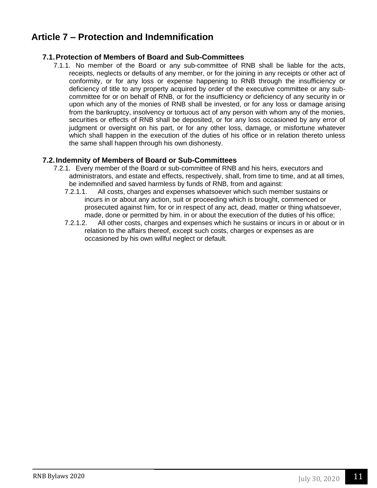# **Article 7 – Protection and Indemnification**

# **7.1.Protection of Members of Board and Sub-Committees**

7.1.1. No member of the Board or any sub-committee of RNB shall be liable for the acts, receipts, neglects or defaults of any member, or for the joining in any receipts or other act of conformity, or for any loss or expense happening to RNB through the insufficiency or deficiency of title to any property acquired by order of the executive committee or any subcommittee for or on behalf of RNB, or for the insufficiency or deficiency of any security in or upon which any of the monies of RNB shall be invested, or for any loss or damage arising from the bankruptcy, insolvency or tortuous act of any person with whom any of the monies, securities or effects of RNB shall be deposited, or for any loss occasioned by any error of judgment or oversight on his part, or for any other loss, damage, or misfortune whatever which shall happen in the execution of the duties of his office or in relation thereto unless the same shall happen through his own dishonesty.

# **7.2.Indemnity of Members of Board or Sub-Committees**

- 7.2.1. Every member of the Board or sub-committee of RNB and his heirs, executors and administrators, and estate and effects, respectively, shall, from time to time, and at all times, be indemnified and saved harmless by funds of RNB, from and against:
	- 7.2.1.1. All costs, charges and expenses whatsoever which such member sustains or incurs in or about any action, suit or proceeding which is brought, commenced or prosecuted against him, for or in respect of any act, dead, matter or thing whatsoever, made, done or permitted by him. in or about the execution of the duties of his office;
	- 7.2.1.2. All other costs, charges and expenses which he sustains or incurs in or about or in relation to the affairs thereof, except such costs, charges or expenses as are occasioned by his own willful neglect or default.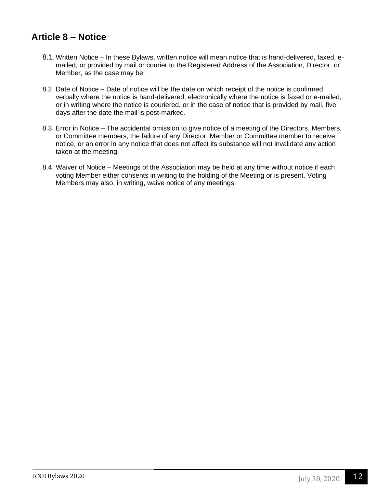# **Article 8 – Notice**

- 8.1.Written Notice In these Bylaws, written notice will mean notice that is hand-delivered, faxed, emailed, or provided by mail or courier to the Registered Address of the Association, Director, or Member, as the case may be.
- 8.2. Date of Notice Date of notice will be the date on which receipt of the notice is confirmed verbally where the notice is hand-delivered, electronically where the notice is faxed or e-mailed, or in writing where the notice is couriered, or in the case of notice that is provided by mail, five days after the date the mail is post-marked.
- 8.3. Error in Notice The accidental omission to give notice of a meeting of the Directors, Members, or Committee members, the failure of any Director, Member or Committee member to receive notice, or an error in any notice that does not affect its substance will not invalidate any action taken at the meeting.
- 8.4. Waiver of Notice Meetings of the Association may be held at any time without notice if each voting Member either consents in writing to the holding of the Meeting or is present. Voting Members may also, in writing, waive notice of any meetings.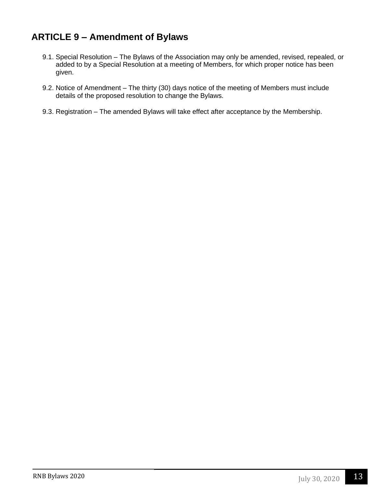# **ARTICLE 9 – Amendment of Bylaws**

- 9.1. Special Resolution The Bylaws of the Association may only be amended, revised, repealed, or added to by a Special Resolution at a meeting of Members, for which proper notice has been given.
- 9.2. Notice of Amendment The thirty (30) days notice of the meeting of Members must include details of the proposed resolution to change the Bylaws.
- 9.3. Registration The amended Bylaws will take effect after acceptance by the Membership.